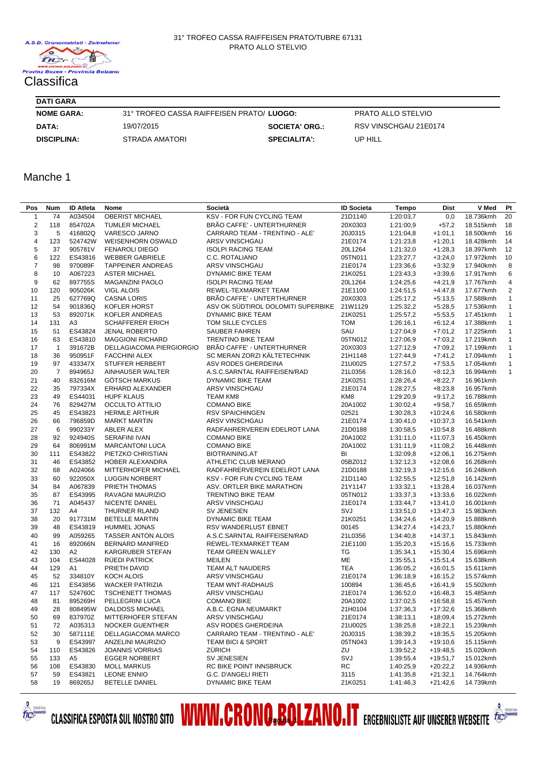## **DATI GARA**

| <b>DAILGANA</b>                                               |                |                       |                       |  |
|---------------------------------------------------------------|----------------|-----------------------|-----------------------|--|
| 31° TROFEO CASSA RAIFFEISEN PRATO/LUOGO:<br><b>NOME GARA:</b> |                |                       | PRATO ALLO STELVIO    |  |
| DATA:                                                         | 19/07/2015     | <b>SOCIETA' ORG.:</b> | RSV VINSCHGAU 21E0174 |  |
| <b>DISCIPLINA:</b>                                            | STRADA AMATORI | <b>SPECIALITA':</b>   | UP HILL               |  |

Manche 1

| Pos          | <b>Num</b>     | <b>ID Atleta</b> | Nome                      | Società                                    | <b>ID Societa</b> | Tempo     | Dist       | V Med     | Pt             |
|--------------|----------------|------------------|---------------------------|--------------------------------------------|-------------------|-----------|------------|-----------|----------------|
| $\mathbf{1}$ | 74             | A034504          | <b>OBERIST MICHAEL</b>    | KSV - FOR FUN CYCLING TEAM                 | 21D1140           | 1:20:03,7 | 0,0        | 18.736kmh | 20             |
| $\sqrt{2}$   | 118            | 854702A          | <b>TUMLER MICHAEL</b>     | BRÃO CAFFE' - UNTERTHURNER                 | 20X0303           | 1:21:00,9 | $+57,2$    | 18.515kmh | 18             |
| 3            | 5              | 416802Q          | VARESCO JARNO             | CARRARO TEAM - TRENTINO - ALE'             | 20J0315           | 1:21:04,8 | $+1:01,1$  | 18.500kmh | 16             |
| 4            | 123            | 524742W          | <b>WEISENHORN OSWALD</b>  | ARSV VINSCHGAU                             | 21E0174           | 1:21:23,8 | $+1:20,1$  | 18.428kmh | 14             |
| 5            | 37             | 905781V          | <b>FENAROLI DIEGO</b>     | <b>ISOLPI RACING TEAM</b>                  | 20L1264           | 1:21:32,0 | $+1:28,3$  | 18.397kmh | 12             |
| 6            | 122            | ES43816          | <b>WEBBER GABRIELE</b>    | C.C. ROTALIANO                             | 05TN011           | 1:23:27,7 | $+3:24.0$  | 17.972kmh | 10             |
| 7            | 98             | 970089F          | <b>TAPPEINER ANDREAS</b>  | ARSV VINSCHGAU                             | 21E0174           | 1:23:36,6 | $+3:32,9$  | 17.940kmh | 8              |
| 8            | 10             | A067223          | <b>ASTER MICHAEL</b>      | DYNAMIC BIKE TEAM                          | 21K0251           | 1:23:43,3 | $+3:39,6$  | 17.917kmh | 6              |
| 9            | 62             | 897755S          | <b>MAGANZINI PAOLO</b>    | <b>ISOLPI RACING TEAM</b>                  | 20L1264           | 1:24:25,6 | $+4:21,9$  | 17.767kmh | $\overline{4}$ |
| 10           | 120            | 905026K          | <b>VIGL ALOIS</b>         | REWEL-TEXMARKET TEAM                       | 21E1100           | 1:24:51,5 | $+4:47,8$  | 17.677kmh | $\overline{2}$ |
| 11           | 25             | 627769Q          | <b>CASNA LORIS</b>        | BRÃO CAFFE' - UNTERTHURNER                 | 20X0303           | 1:25:17,2 | $+5:13.5$  | 17.588kmh | $\mathbf{1}$   |
| 12           | 54             | 901836Q          | <b>KOFLER HORST</b>       | ASV OK SÜDTIROL DOLOMITI SUPERBIKE 21W1129 |                   | 1:25:32,2 | $+5:28.5$  | 17.536kmh | $\mathbf{1}$   |
| 13           | 53             | 892071K          | KOFLER ANDREAS            | DYNAMIC BIKE TEAM                          | 21K0251           | 1:25:57,2 | $+5:53,5$  | 17.451kmh | $\mathbf{1}$   |
| 14           | 131            | A3               | <b>SCHAFFERER ERICH</b>   | TOM SILLE CYCLES                           | <b>TOM</b>        | 1:26:16,1 | $+6:12,4$  | 17.388kmh | $\mathbf{1}$   |
| 15           | 51             | ES43824          | <b>JENAL ROBERTO</b>      | <b>SAUBER FAHREN</b>                       | SAU               | 1:27:04,9 | $+7:01,2$  | 17.225kmh | $\mathbf{1}$   |
| 16           | 63             | ES43810          | <b>MAGGIONI RICHARD</b>   | <b>TRENTINO BIKE TEAM</b>                  | 05TN012           | 1:27:06,9 | $+7:03,2$  | 17.219kmh | $\mathbf{1}$   |
| 17           | $\mathbf{1}$   | 391672B          | DELLAGIACOMA PIERGIORGIO  | BRÃO CAFFE' - UNTERTHURNER                 | 20X0303           | 1:27:12,9 | $+7:09,2$  | 17.199kmh | $\mathbf{1}$   |
| 18           | 36             | 950951F          | <b>FACCHINI ALEX</b>      | SC MERAN ZORZI KÄLTETECHNIK                | 21H1148           | 1:27:44,9 | $+7:41,2$  | 17.094kmh | $\mathbf{1}$   |
|              | 97             | 433347X          | <b>STUFFER HERBERT</b>    |                                            |                   |           |            |           | $\mathbf{1}$   |
| 19           | $\overline{7}$ | 894965J          |                           | ASV RODES GHERDEINA                        | 21U0025           | 1:27:57,2 | $+7:53,5$  | 17.054kmh | $\mathbf{1}$   |
| 20           |                |                  | AINHAUSER WALTER          | A.S.C.SARNTAL RAIFFEISEN/RAD               | 21L0356           | 1:28:16,0 | $+8:12,3$  | 16.994kmh |                |
| 21           | 40             | 832616M          | <b>GOTSCH MARKUS</b>      | DYNAMIC BIKE TEAM                          | 21K0251           | 1:28:26,4 | $+8:22,7$  | 16.961kmh |                |
| 22           | 35             | 797334X          | ERHARD ALEXANDER          | ARSV VINSCHGAU                             | 21E0174           | 1:28:27,5 | $+8:23,8$  | 16.957kmh |                |
| 23           | 49             | ES44031          | <b>HUPF KLAUS</b>         | <b>TEAM KM8</b>                            | KM8               | 1:29:20,9 | $+9:17,2$  | 16.788kmh |                |
| 24           | 76             | 829427M          | <b>OCCULTO ATTILIO</b>    | <b>COMANO BIKE</b>                         | 20A1002           | 1:30:02,4 | $+9:58,7$  | 16.659kmh |                |
| 25           | 45             | ES43823          | <b>HERMLE ARTHUR</b>      | <b>RSV SPAICHINGEN</b>                     | 02521             | 1:30:28,3 | $+10:24,6$ | 16.580kmh |                |
| 26           | 66             | 796859D          | <b>MARKT MARTIN</b>       | ARSV VINSCHGAU                             | 21E0174           | 1:30:41,0 | $+10:37,3$ | 16.541kmh |                |
| 27           | 6              | 990233Y          | ABLER ALEX                | RADFAHRERVEREIN EDELROT LANA               | 21D0188           | 1:30:58,5 | $+10:54,8$ | 16.488kmh |                |
| 28           | 92             | 924940S          | <b>SERAFINI IVAN</b>      | <b>COMANO BIKE</b>                         | 20A1002           | 1:31:11,0 | $+11:07,3$ | 16.450kmh |                |
| 29           | 64             | 806991M          | <b>MARCANTONI LUCA</b>    | <b>COMANO BIKE</b>                         | 20A1002           | 1:31:11.9 | $+11:08,2$ | 16.448kmh |                |
| 30           | 111            | ES43822          | PIETZKO CHRISTIAN         | <b>BIOTRAINING.AT</b>                      | BI                | 1:32:09,8 | $+12:06,1$ | 16.275kmh |                |
| 31           | 46             | ES43852          | HOBER ALEXANDRA           | ATHLETIC CLUB MERANO                       | 05BZ012           | 1:32:12,3 | $+12:08,6$ | 16.268kmh |                |
| 32           | 68             | A024066          | MITTERHOFER MICHAEL       | RADFAHRERVEREIN EDELROT LANA               | 21D0188           | 1:32:19,3 | $+12:15,6$ | 16.248kmh |                |
| 33           | 60             | 922050X          | <b>LUGGIN NORBERT</b>     | <b>KSV - FOR FUN CYCLING TEAM</b>          | 21D1140           | 1:32:55,5 | $+12:51,8$ | 16.142kmh |                |
| 34           | 84             | A067839          | PRIETH THOMAS             | ASV. ORTLER BIKE MARATHON                  | 21Y1147           | 1:33:32,1 | $+13:28,4$ | 16.037kmh |                |
| 35           | 87             | ES43995          | RAVAGNI MAURIZIO          | <b>TRENTINO BIKE TEAM</b>                  | 05TN012           | 1:33:37,3 | $+13:33,6$ | 16.022kmh |                |
| 36           | 71             | A045437          | NICENTE DANIEL            | ARSV VINSCHGAU                             | 21E0174           | 1:33:44,7 | $+13:41,0$ | 16.001kmh |                |
| 37           | 132            | A4               | THURNER RLAND             | <b>SV JENESIEN</b>                         | SVJ               | 1:33:51,0 | $+13:47,3$ | 15.983kmh |                |
| 38           | 20             | 917731M          | <b>BETELLE MARTIN</b>     | DYNAMIC BIKE TEAM                          | 21K0251           | 1:34:24,6 | $+14:20,9$ | 15.888kmh |                |
| 39           | 48             | ES43819          | <b>HUMMEL JONAS</b>       | RSV WANDERLUST EBNET                       | 00145             | 1:34:27,4 | $+14:23,7$ | 15.880kmh |                |
| 40           | 99             | A059265          | <b>TASSER ANTON ALOIS</b> | A.S.C.SARNTAL RAIFFEISEN/RAD               | 21L0356           | 1:34:40,8 | $+14:37,1$ | 15.843kmh |                |
| 41           | 16             | 892066N          | <b>BERNARD MANFRED</b>    | REWEL-TEXMARKET TEAM                       | 21E1100           | 1:35:20,3 | $+15:16,6$ | 15.733kmh |                |
| 42           | 130            | A2               | KARGRUBER STEFAN          | TEAM GREEN WALLEY                          | TG                | 1:35:34,1 | $+15:30,4$ | 15.696kmh |                |
| 43           | 104            | ES44028          | <b>RUEDI PATRICK</b>      | <b>MEILEN</b>                              | ME                | 1:35:55,1 | $+15:51,4$ | 15.638kmh |                |
| 44           | 129            | A1               | PRIETH DAVID              | TEAM ALT NAUDERS                           | <b>TEA</b>        | 1:36:05,2 | $+16:01,5$ | 15.611kmh |                |
| 45           | 52             | 334810Y          | KOCH ALOIS                | ARSV VINSCHGAU                             | 21E0174           | 1:36:18,9 | $+16:15,2$ | 15.574kmh |                |
| 46           | 121            | ES43856          | <b>WACKER PATRIZIA</b>    | TEAM WNT-RADHAUS                           | 100894            | 1:36:45,6 | $+16:41,9$ | 15.502kmh |                |
| 47           | 117            | 524760C          | <b>TSCHENETT THOMAS</b>   | ARSV VINSCHGAU                             | 21E0174           | 1:36:52,0 | $+16:48,3$ | 15.485kmh |                |
| 48           | 81             | 895269H          | PELLEGRINI LUCA           | <b>COMANO BIKE</b>                         | 20A1002           | 1:37:02,5 | $+16:58.8$ | 15.457kmh |                |
| 49           | 28             | 808495W          | <b>DALDOSS MICHAEL</b>    | A.B.C. EGNA NEUMARKT                       | 21H0104           | 1:37:36,3 | $+17:32,6$ | 15.368kmh |                |
| 50           | 69             | 837970Z          | MITTERHOFER STEFAN        | ARSV VINSCHGAU                             | 21E0174           | 1:38:13,1 | $+18:09,4$ | 15.272kmh |                |
| 51           | 72             | A035313          | <b>NOCKER GUENTHER</b>    | ASV RODES GHERDEINA                        | 21U0025           | 1:38:25,8 | $+18:22,1$ | 15.239kmh |                |
| 52           | 30             | 587111E          | DELLAGIACOMA MARCO        | CARRARO TEAM - TRENTINO - ALE'             | 20J0315           | 1:38:39,2 | +18:35,5   | 15.205kmh |                |
| 53           | 9              | ES43997          | <b>ANZELINI MAURIZIO</b>  | <b>TEAM BICI &amp; SPORT</b>               | 05TN043           | 1:39:14,3 | $+19:10,6$ | 15.115kmh |                |
| 54           | 110            | ES43826          | <b>JOANNIS VORRIAS</b>    | <b>ZURICH</b>                              | ZU                | 1:39:52,2 | $+19:48,5$ | 15.020kmh |                |
| 55           | 133            | A5               | <b>EGGER NORBERT</b>      | SV JENESIEN                                | SVJ               | 1:39:55,4 | $+19:51,7$ | 15.012kmh |                |
| 56           | 108            | ES43830          | <b>MOLL MARKUS</b>        | RC BIKE POINT INNSBRUCK                    | RC                | 1:40:25,9 | $+20:22,2$ | 14.936kmh |                |
| 57           | 59             | ES43821          | <b>LEONE ENNIO</b>        | G.C. D'ANGELI RIETI                        | 3115              | 1:41:35,8 | +21:32,1   | 14.764kmh |                |
| 58           | 19             | 869265J          | <b>BETELLE DANIEL</b>     | DYNAMIC BIKE TEAM                          | 21K0251           | 1:41:46,3 | $+21:42,6$ | 14.739kmh |                |
|              |                |                  |                           |                                            |                   |           |            |           |                |

CLASSIFICA ESPOSTA SUL NOSTRO SITO **WWW.CRONO.BOLZANO.IT** ERGEBNISLISTE AUF UNSERER WEBSEITE